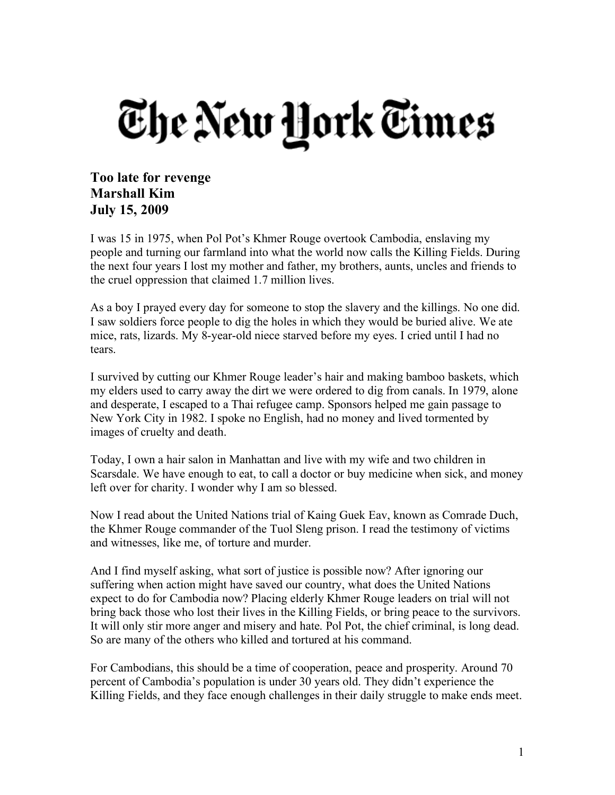## The New York Times

## **Too late for revenge Marshall Kim July 15, 2009**

I was 15 in 1975, when Pol Pot's Khmer Rouge overtook Cambodia, enslaving my people and turning our farmland into what the world now calls the Killing Fields. During the next four years I lost my mother and father, my brothers, aunts, uncles and friends to the cruel oppression that claimed 1.7 million lives.

As a boy I prayed every day for someone to stop the slavery and the killings. No one did. I saw soldiers force people to dig the holes in which they would be buried alive. We ate mice, rats, lizards. My 8-year-old niece starved before my eyes. I cried until I had no tears.

I survived by cutting our Khmer Rouge leader's hair and making bamboo baskets, which my elders used to carry away the dirt we were ordered to dig from canals. In 1979, alone and desperate, I escaped to a Thai refugee camp. Sponsors helped me gain passage to New York City in 1982. I spoke no English, had no money and lived tormented by images of cruelty and death.

Today, I own a hair salon in Manhattan and live with my wife and two children in Scarsdale. We have enough to eat, to call a doctor or buy medicine when sick, and money left over for charity. I wonder why I am so blessed.

Now I read about the United Nations trial of Kaing Guek Eav, known as Comrade Duch, the Khmer Rouge commander of the Tuol Sleng prison. I read the testimony of victims and witnesses, like me, of torture and murder.

And I find myself asking, what sort of justice is possible now? After ignoring our suffering when action might have saved our country, what does the United Nations expect to do for Cambodia now? Placing elderly Khmer Rouge leaders on trial will not bring back those who lost their lives in the Killing Fields, or bring peace to the survivors. It will only stir more anger and misery and hate. Pol Pot, the chief criminal, is long dead. So are many of the others who killed and tortured at his command.

For Cambodians, this should be a time of cooperation, peace and prosperity. Around 70 percent of Cambodia's population is under 30 years old. They didn't experience the Killing Fields, and they face enough challenges in their daily struggle to make ends meet.